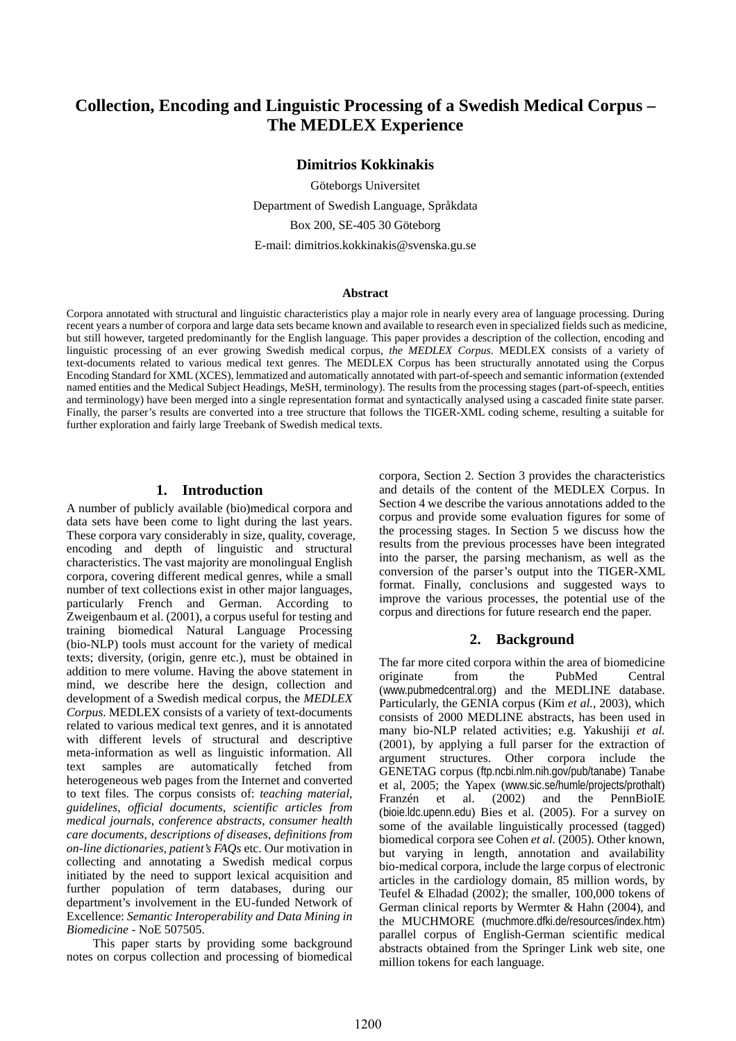# **Collection, Encoding and Linguistic Processing of a Swedish Medical Corpus – The MEDLEX Experience**

#### **Dimitrios Kokkinakis**

Göteborgs Universitet Department of Swedish Language, Språkdata Box 200, SE-405 30 Göteborg E-mail: dimitrios.kokkinakis@svenska.gu.se

#### **Abstract**

Corpora annotated with structural and linguistic characteristics play a major role in nearly every area of language processing. During recent years a number of corpora and large data sets became known and available to research even in specialized fields such as medicine, but still however, targeted predominantly for the English language. This paper provides a description of the collection, encoding and linguistic processing of an ever growing Swedish medical corpus, *the MEDLEX Corpus*. MEDLEX consists of a variety of text-documents related to various medical text genres. The MEDLEX Corpus has been structurally annotated using the Corpus Encoding Standard for XML (XCES), lemmatized and automatically annotated with part-of-speech and semantic information (extended named entities and the Medical Subject Headings, MeSH, terminology). The results from the processing stages (part-of-speech, entities and terminology) have been merged into a single representation format and syntactically analysed using a cascaded finite state parser. Finally, the parser's results are converted into a tree structure that follows the TIGER-XML coding scheme, resulting a suitable for further exploration and fairly large Treebank of Swedish medical texts.

#### **1. Introduction**

A number of publicly available (bio)medical corpora and data sets have been come to light during the last years. These corpora vary considerably in size, quality, coverage, encoding and depth of linguistic and structural characteristics. The vast majority are monolingual English corpora, covering different medical genres, while a small number of text collections exist in other major languages, particularly French and German. According to Zweigenbaum et al. (2001), a corpus useful for testing and training biomedical Natural Language Processing (bio-NLP) tools must account for the variety of medical texts; diversity, (origin, genre etc.), must be obtained in addition to mere volume. Having the above statement in mind, we describe here the design, collection and development of a Swedish medical corpus, the *MEDLEX Corpus*. MEDLEX consists of a variety of text-documents related to various medical text genres, and it is annotated with different levels of structural and descriptive meta-information as well as linguistic information. All text samples are automatically fetched from heterogeneous web pages from the Internet and converted to text files. The corpus consists of: *teaching material*, *guidelines*, *official documents*, *scientific articles from medical journals*, *conference abstracts*, *consumer health care documents*, *descriptions of diseases, definitions from on-line dictionaries, patient's FAQs* etc. Our motivation in collecting and annotating a Swedish medical corpus initiated by the need to support lexical acquisition and further population of term databases, during our department's involvement in the EU-funded Network of Excellence: *Semantic Interoperability and Data Mining in Biomedicine* - NoE 507505.

This paper starts by providing some background notes on corpus collection and processing of biomedical corpora, Section 2. Section 3 provides the characteristics and details of the content of the MEDLEX Corpus. In Section 4 we describe the various annotations added to the corpus and provide some evaluation figures for some of the processing stages. In Section 5 we discuss how the results from the previous processes have been integrated into the parser, the parsing mechanism, as well as the conversion of the parser's output into the TIGER-XML format. Finally, conclusions and suggested ways to improve the various processes, the potential use of the corpus and directions for future research end the paper.

#### **2. Background**

The far more cited corpora within the area of biomedicine originate from the PubMed Central (www.pubmedcentral.org) and the MEDLINE database. Particularly, the GENIA corpus (Kim *et al.*, 2003), which consists of 2000 MEDLINE abstracts, has been used in many bio-NLP related activities; e.g. Yakushiji *et al.* (2001), by applying a full parser for the extraction of argument structures. Other corpora include the GENETAG corpus (ftp.ncbi.nlm.nih.gov/pub/tanabe) Tanabe et al, 2005; the Yapex (www.sic.se/humle/projects/prothalt) Franzén et al. (2002) and the PennBioIE (bioie.ldc.upenn.edu) Bies et al. (2005). For a survey on some of the available linguistically processed (tagged) biomedical corpora see Cohen *et al.* (2005). Other known, but varying in length, annotation and availability bio-medical corpora, include the large corpus of electronic articles in the cardiology domain, 85 million words, by Teufel & Elhadad (2002); the smaller, 100,000 tokens of German clinical reports by Wermter & Hahn (2004), and the MUCHMORE (muchmore.dfki.de/resources/index.htm) parallel corpus of English-German scientific medical abstracts obtained from the Springer Link web site, one million tokens for each language.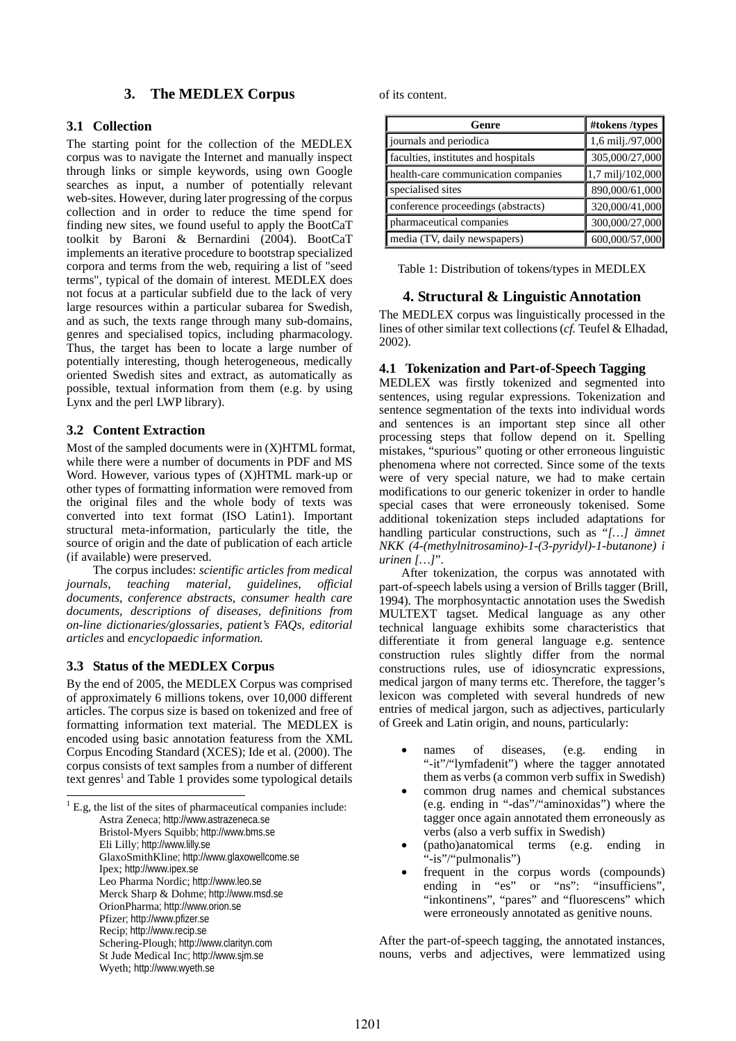## **3. The MEDLEX Corpus**

## **3.1 Collection**

The starting point for the collection of the MEDLEX corpus was to navigate the Internet and manually inspect through links or simple keywords, using own Google searches as input, a number of potentially relevant web-sites. However, during later progressing of the corpus collection and in order to reduce the time spend for finding new sites, we found useful to apply the BootCaT toolkit by Baroni & Bernardini (2004). BootCaT implements an iterative procedure to bootstrap specialized corpora and terms from the web, requiring a list of "seed terms", typical of the domain of interest. MEDLEX does not focus at a particular subfield due to the lack of very large resources within a particular subarea for Swedish, and as such, the texts range through many sub-domains, genres and specialised topics, including pharmacology. Thus, the target has been to locate a large number of potentially interesting, though heterogeneous, medically oriented Swedish sites and extract, as automatically as possible, textual information from them (e.g. by using Lynx and the perl LWP library).

## **3.2 Content Extraction**

Most of the sampled documents were in (X)HTML format, while there were a number of documents in PDF and MS Word. However, various types of (X)HTML mark-up or other types of formatting information were removed from the original files and the whole body of texts was converted into text format (ISO Latin1). Important structural meta-information, particularly the title, the source of origin and the date of publication of each article (if available) were preserved.

 The corpus includes: *scientific articles from medical journals*, *teaching material*, *guidelines*, *official documents*, *conference abstracts, consumer health care documents*, *descriptions of diseases, definitions from on-line dictionaries/glossaries*, *patient's FAQs, editorial articles* and *encyclopaedic information.*

### **3.3 Status of the MEDLEX Corpus**

 $\overline{a}$ 

By the end of 2005, the MEDLEX Corpus was comprised of approximately 6 millions tokens, over 10,000 different articles. The corpus size is based on tokenized and free of formatting information text material. The MEDLEX is encoded using basic annotation featuress from the XML Corpus Encoding Standard (XCES); Ide et al. (2000). The corpus consists of text samples from a number of different text genres<sup>1</sup> and Table 1 provides some typological details

<span id="page-1-0"></span> $<sup>1</sup>$  E.g, the list of the sites of pharmaceutical companies include:</sup> Astra Zeneca; http://www.astrazeneca.se Bristol-Myers Squibb; http://www.bms.se Eli Lilly; http://www.lilly.se GlaxoSmithKline; http://www.glaxowellcome.se Ipex; http://www.ipex.se Leo Pharma Nordic; http://www.leo.se Merck Sharp & Dohme; http://www.msd.se OrionPharma; http://www.orion.se Pfizer; http://www.pfizer.se Recip; http://www.recip.se Schering-Plough; http://www.clarityn.com St Jude Medical Inc; http://www.sjm.se Wyeth; http://www.wyeth.se

of its content.

| Genre                               | #tokens /types   |
|-------------------------------------|------------------|
| journals and periodica              | 1,6 milj./97,000 |
| faculties, institutes and hospitals | 305,000/27,000   |
| health-care communication companies | 1,7 milj/102,000 |
| specialised sites                   | 890,000/61,000   |
| conference proceedings (abstracts)  | 320,000/41,000   |
| pharmaceutical companies            | 300,000/27,000   |
| media (TV, daily newspapers)        | 600,000/57,000   |

Table 1: Distribution of tokens/types in MEDLEX

### **4. Structural & Linguistic Annotation**

The MEDLEX corpus was linguistically processed in the lines of other similar text collections (*cf.* Teufel & Elhadad, 2002).

### **4.1 Tokenization and Part-of-Speech Tagging**

MEDLEX was firstly tokenized and segmented into sentences, using regular expressions. Tokenization and sentence segmentation of the texts into individual words and sentences is an important step since all other processing steps that follow depend on it. Spelling mistakes, "spurious" quoting or other erroneous linguistic phenomena where not corrected. Since some of the texts were of very special nature, we had to make certain modifications to our generic tokenizer in order to handle special cases that were erroneously tokenised. Some additional tokenization steps included adaptations for handling particular constructions, such as "*[…] ämnet NKK (4-(methylnitrosamino)-1-(3-pyridyl)-1-butanone) i urinen […]*".

After tokenization, the corpus was annotated with part-of-speech labels using a version of Brills tagger (Brill, 1994). The morphosyntactic annotation uses the Swedish MULTEXT tagset. Medical language as any other technical language exhibits some characteristics that differentiate it from general language e.g. sentence construction rules slightly differ from the normal constructions rules, use of idiosyncratic expressions, medical jargon of many terms etc. Therefore, the tagger's lexicon was completed with several hundreds of new entries of medical jargon, such as adjectives, particularly of Greek and Latin origin, and nouns, particularly:

- names of diseases, (e.g. ending in "-it"/"lymfadenit") where the tagger annotated them as verbs (a common verb suffix in Swedish)
- common drug names and chemical substances (e.g. ending in "-das"/"aminoxidas") where the tagger once again annotated them erroneously as verbs (also a verb suffix in Swedish)
- (patho)anatomical terms (e.g. ending in "-is"/"pulmonalis")
- frequent in the corpus words (compounds) ending in "es" or "ns": "insufficiens", "inkontinens", "pares" and "fluorescens" which were erroneously annotated as genitive nouns.

After the part-of-speech tagging, the annotated instances, nouns, verbs and adjectives, were lemmatized using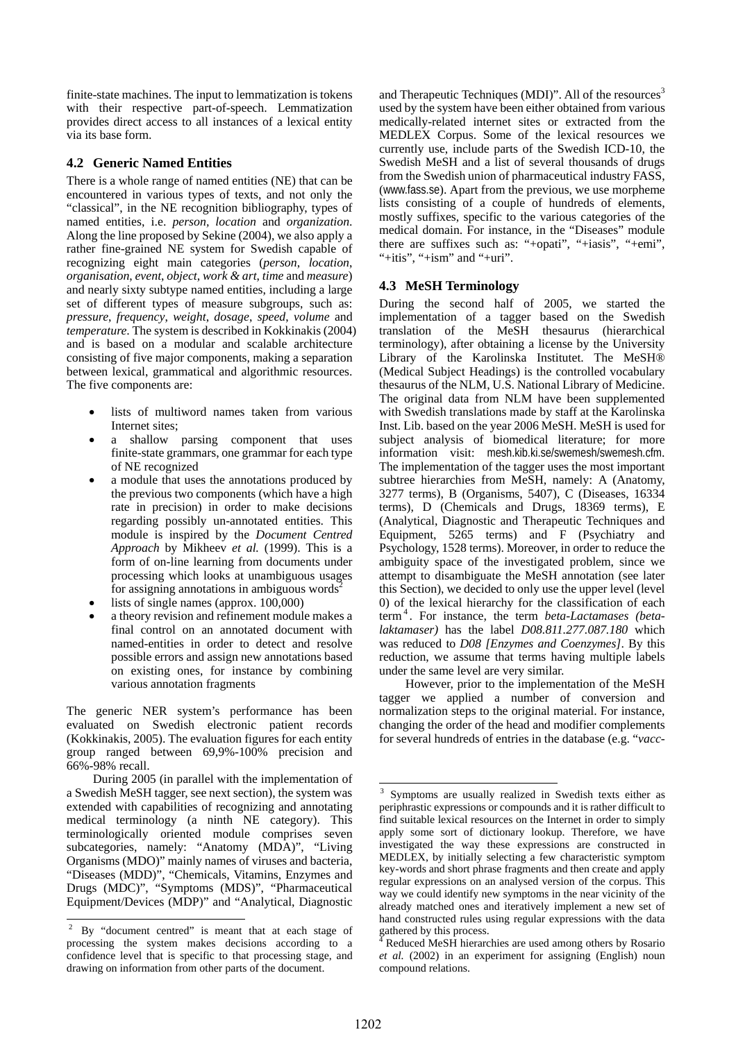finite-state machines. The input to lemmatization is tokens with their respective part-of-speech. Lemmatization provides direct access to all instances of a lexical entity via its base form.

## **4.2 Generic Named Entities**

There is a whole range of named entities (NE) that can be encountered in various types of texts, and not only the "classical", in the NE recognition bibliography, types of named entities, i.e. *person, location* and *organization*. Along the line proposed by Sekine (2004), we also apply a rather fine-grained NE system for Swedish capable of recognizing eight main categories (*person*, *location*, *organisation*, *event*, *object*, *work & art*, *time* and *measure*) and nearly sixty subtype named entities, including a large set of different types of measure subgroups, such as: *pressure*, *frequency*, *weight*, *dosage*, *speed*, *volume* and *temperature*. The system is described in Kokkinakis (2004) and is based on a modular and scalable architecture consisting of five major components, making a separation between lexical, grammatical and algorithmic resources. The five components are:

- lists of multiword names taken from various Internet sites;
- a shallow parsing component that uses finite-state grammars, one grammar for each type of NE recognized
- a module that uses the annotations produced by the previous two components (which have a high rate in precision) in order to make decisions regarding possibly un-annotated entities. This module is inspired by the *Document Centred Approach* by Mikheev *et al.* (1999). This is a form of on-line learning from documents under processing which looks at unambiguous usages for assigning annotations in ambiguous words<sup>2</sup>
- lists of single names (approx.  $100,000$ )
- a theory revision and refinement module makes a final control on an annotated document with named-entities in order to detect and resolve possible errors and assign new annotations based on existing ones, for instance by combining various annotation fragments

The generic NER system's performance has been evaluated on Swedish electronic patient records (Kokkinakis, 2005). The evaluation figures for each entity group ranged between 69,9%-100% precision and 66%-98% recall.

During 2005 (in parallel with the implementation of a Swedish MeSH tagger, see next section), the system was extended with capabilities of recognizing and annotating medical terminology (a ninth NE category). This terminologically oriented module comprises seven subcategories, namely: "Anatomy (MDA)", "Living Organisms (MDO)" mainly names of viruses and bacteria, "Diseases (MDD)", "Chemicals, Vitamins, Enzymes and Drugs (MDC)", "Symptoms (MDS)", "Pharmaceutical Equipment/Devices (MDP)" and "Analytical, Diagnostic

 $\overline{a}$ 

and Therapeutic Techniques (MDI)". All of the resources<sup>[3](#page-2-1)</sup> used by the system have been either obtained from various medically-related internet sites or extracted from the MEDLEX Corpus. Some of the lexical resources we currently use, include parts of the Swedish ICD-10, the Swedish MeSH and a list of several thousands of drugs from the Swedish union of pharmaceutical industry FASS, (www.fass.se). Apart from the previous, we use morpheme lists consisting of a couple of hundreds of elements, mostly suffixes, specific to the various categories of the medical domain. For instance, in the "Diseases" module there are suffixes such as: "+opati", "+iasis", "+emi", "+itis", "+ism" and "+uri".

## **4.3 MeSH Terminology**

During the second half of 2005, we started the implementation of a tagger based on the Swedish translation of the MeSH thesaurus (hierarchical terminology), after obtaining a license by the University Library of the Karolinska Institutet. The MeSH® (Medical Subject Headings) is the controlled vocabulary thesaurus of the NLM, U.S. National Library of Medicine. The original data from NLM have been supplemented with Swedish translations made by staff at the Karolinska Inst. Lib. based on the year 2006 MeSH. MeSH is used for subject analysis of biomedical literature; for more information visit: mesh.kib.ki.se/swemesh/swemesh.cfm. The implementation of the tagger uses the most important subtree hierarchies from MeSH, namely: A (Anatomy, 3277 terms), B (Organisms, 5407), C (Diseases, 16334 terms), D (Chemicals and Drugs, 18369 terms), E (Analytical, Diagnostic and Therapeutic Techniques and Equipment, 5265 terms) and F (Psychiatry and Psychology, 1528 terms). Moreover, in order to reduce the ambiguity space of the investigated problem, since we attempt to disambiguate the MeSH annotation (see later this Section), we decided to only use the upper level (level 0) of the lexical hierarchy for the classification of each term<sup>4</sup> [.](#page-2-2) For instance, the term *beta-Lactamases (betalaktamaser)* has the label *D08.811.277.087.180* which was reduced to *D08 [Enzymes and Coenzymes]*. By this reduction, we assume that terms having multiple labels under the same level are very similar.

However, prior to the implementation of the MeSH tagger we applied a number of conversion and normalization steps to the original material. For instance, changing the order of the head and modifier complements for several hundreds of entries in the database (e.g. "*vacc*-

<span id="page-2-0"></span> $2$  By "document centred" is meant that at each stage of processing the system makes decisions according to a confidence level that is specific to that processing stage, and drawing on information from other parts of the document.

<span id="page-2-1"></span> 3 Symptoms are usually realized in Swedish texts either as periphrastic expressions or compounds and it is rather difficult to find suitable lexical resources on the Internet in order to simply apply some sort of dictionary lookup. Therefore, we have investigated the way these expressions are constructed in MEDLEX, by initially selecting a few characteristic symptom key-words and short phrase fragments and then create and apply regular expressions on an analysed version of the corpus. This way we could identify new symptoms in the near vicinity of the already matched ones and iteratively implement a new set of hand constructed rules using regular expressions with the data gathered by this process.

<span id="page-2-2"></span>Reduced MeSH hierarchies are used among others by Rosario *et al.* (2002) in an experiment for assigning (English) noun compound relations.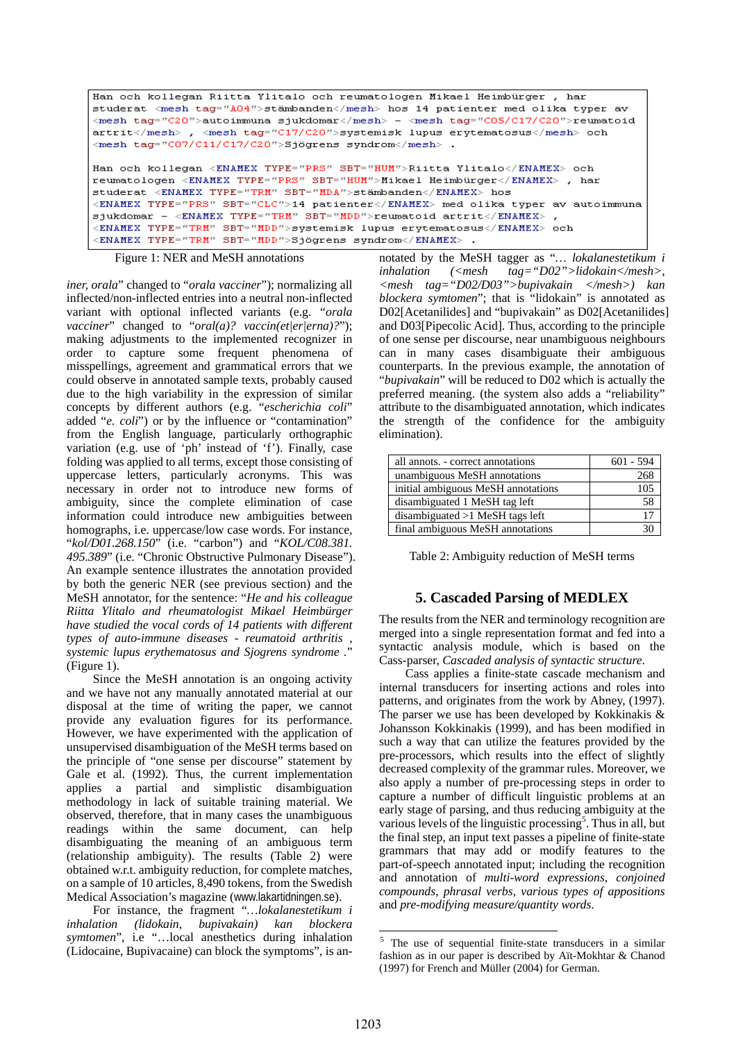```
Han och kollegan Riitta Ylitalo och reumatologen Mikael Heimbürger, har
studerat <mesh tag="A04">stämbanden</mesh> hos 14 patienter med olika typer av
<mesh tag="C20">autoimmuna sjukdomar</mesh> - <mesh tag="C05/C17/C20">reumatoid
artrit</mesh>, <mesh tag="C17/C20">systemisk lupus erytematosus</mesh> och
kmesh tag="CO7/C11/C17/C20">Sjögrens syndrom</mesh>
Han och kollegan <ENAMEX TYPE="PRS" SBT="HUM">Riitta Ylitalo</ENAMEX> och
reumatologen <ENAMEX TYPE="PRS" SBT="HUM">Mikael Heimbürger</ENAMEX>, har
student < ENAMEX TYPE="TRM" SBT="MDA">stämbanden</ENAMEX> hos
<ENAMEX TYPE="PRS" SBT="CLC">14 patienter</ENAMEX> med olika typer av autoimmuna
sjukdomar - <ENAMEX TYPE="TRM" SBT="MDD">reumatoid artrit</ENAMEX>,
<ENAMEX TYPE="TRM" SBT="MDD">systemisk lupus erytematosus</ENAMEX> och
<ENAMEX TYPE="TRM" SBT="MDD">Sjögrens syndrom</ENAMEX> .
```
Figure 1: NER and MeSH annotations

*iner, orala*" changed to "*orala vacciner*"); normalizing all inflected/non-inflected entries into a neutral non-inflected variant with optional inflected variants (e.g. "*orala vacciner*" changed to "*oral(a)? vaccin(et|er|erna)?*"); making adjustments to the implemented recognizer in order to capture some frequent phenomena of misspellings, agreement and grammatical errors that we could observe in annotated sample texts, probably caused due to the high variability in the expression of similar concepts by different authors (e.g. "*escherichia coli*" added "*e. coli*") or by the influence or "contamination" from the English language, particularly orthographic variation (e.g. use of 'ph' instead of 'f'). Finally, case folding was applied to all terms, except those consisting of uppercase letters, particularly acronyms. This was necessary in order not to introduce new forms of ambiguity, since the complete elimination of case information could introduce new ambiguities between homographs, i.e. uppercase/low case words. For instance, "*kol/D01.268.150*" (i.e. "carbon") and "*KOL/C08.381. 495.389*" (i.e. "Chronic Obstructive Pulmonary Disease"). An example sentence illustrates the annotation provided by both the generic NER (see previous section) and the MeSH annotator, for the sentence: "*He and his colleague Riitta Ylitalo and rheumatologist Mikael Heimbürger have studied the vocal cords of 14 patients with different types of auto-immune diseases - reumatoid arthritis , systemic lupus erythematosus and Sjogrens syndrome .*" (Figure 1).

Since the MeSH annotation is an ongoing activity and we have not any manually annotated material at our disposal at the time of writing the paper, we cannot provide any evaluation figures for its performance. However, we have experimented with the application of unsupervised disambiguation of the MeSH terms based on the principle of "one sense per discourse" statement by Gale et al. (1992). Thus, the current implementation applies a partial and simplistic disambiguation methodology in lack of suitable training material. We observed, therefore, that in many cases the unambiguous readings within the same document, can help disambiguating the meaning of an ambiguous term (relationship ambiguity). The results (Table 2) were obtained w.r.t. ambiguity reduction, for complete matches, on a sample of 10 articles, 8,490 tokens, from the Swedish Medical Association's magazine (www.lakartidningen.se).

For instance, the fragment "*…lokalanestetikum i inhalation (lidokain, bupivakain) kan blockera symtomen*", i.e "…local anesthetics during inhalation (Lidocaine, Bupivacaine) can block the symptoms", is an-

notated by the MeSH tagger as "*… lokalanestetikum i inhalation (<mesh tag="D02">lidokain</mesh>, <mesh tag="D02/D03">bupivakain </mesh>) kan blockera symtomen*"; that is "lidokain" is annotated as D02[Acetanilides] and "bupivakain" as D02[Acetanilides] and D03[Pipecolic Acid]. Thus, according to the principle of one sense per discourse, near unambiguous neighbours can in many cases disambiguate their ambiguous counterparts. In the previous example, the annotation of "*bupivakain*" will be reduced to D02 which is actually the preferred meaning. (the system also adds a "reliability" attribute to the disambiguated annotation, which indicates the strength of the confidence for the ambiguity elimination).

| all annots. - correct annotations  | $601 - 594$ |
|------------------------------------|-------------|
| unambiguous MeSH annotations       | 268         |
| initial ambiguous MeSH annotations | 105         |
| disambiguated 1 MeSH tag left      | .58         |
| disambiguated $>1$ MeSH tags left  |             |
| final ambiguous MeSH annotations   |             |

Table 2: Ambiguity reduction of MeSH terms

## **5. Cascaded Parsing of MEDLEX**

The results from the NER and terminology recognition are merged into a single representation format and fed into a syntactic analysis module, which is based on the Cass-parser, *Cascaded analysis of syntactic structure*.

Cass applies a finite-state cascade mechanism and internal transducers for inserting actions and roles into patterns, and originates from the work by Abney, (1997). The parser we use has been developed by Kokkinakis & Johansson Kokkinakis (1999), and has been modified in such a way that can utilize the features provided by the pre-processors, which results into the effect of slightly decreased complexity of the grammar rules. Moreover, we also apply a number of pre-processing steps in order to capture a number of difficult linguistic problems at an early stage of parsing, and thus reducing ambiguity at the various levels of the linguistic processing<sup>[5](#page-3-0)</sup>. Thus in all, but the final step, an input text passes a pipeline of finite-state grammars that may add or modify features to the part-of-speech annotated input; including the recognition and annotation of *multi-word expressions, conjoined compounds, phrasal verbs, various types of appositions* and *pre-modifying measure/quantity words*.

<span id="page-3-0"></span><sup>&</sup>lt;sup>5</sup> The use of sequential finite-state transducers in a similar fashion as in our paper is described by Aït-Mokhtar & Chanod (1997) for French and Müller (2004) for German.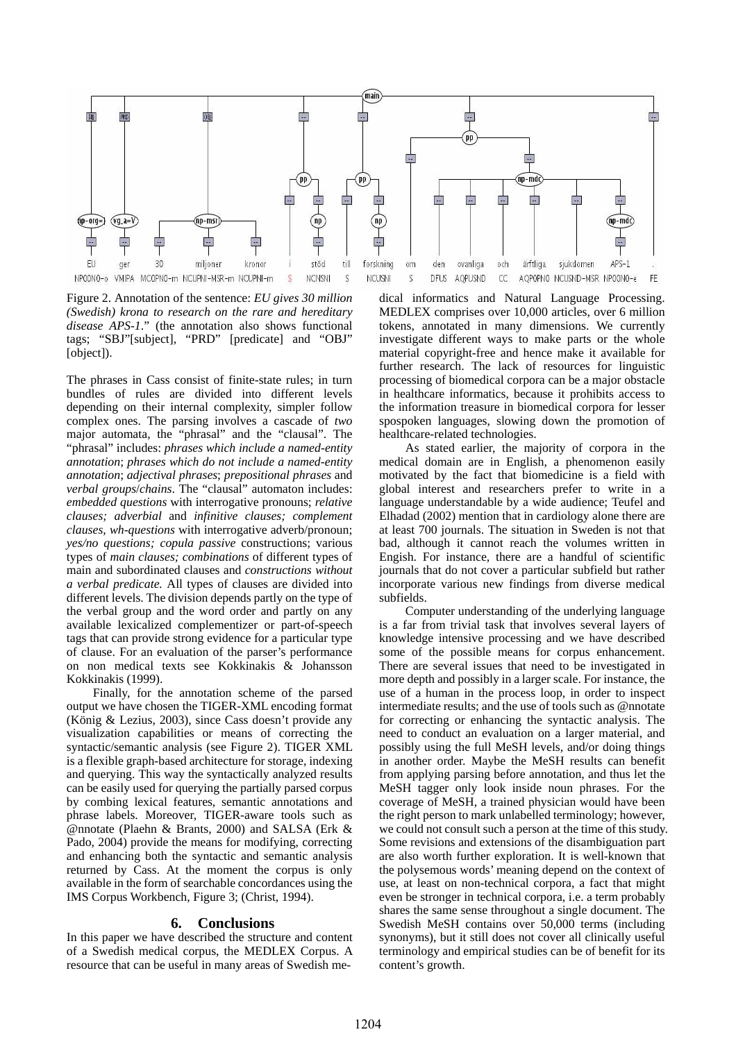

Figure 2. Annotation of the sentence: *EU gives 30 million (Swedish) krona to research on the rare and hereditary disease APS-1*." (the annotation also shows functional tags; "SBJ"[subject], "PRD" [predicate] and "OBJ" [object]).

The phrases in Cass consist of finite-state rules; in turn bundles of rules are divided into different levels depending on their internal complexity, simpler follow complex ones. The parsing involves a cascade of *two* major automata, the "phrasal" and the "clausal". The "phrasal" includes: *phrases which include a named-entity annotation*; *phrases which do not include a named-entity annotation*; *adjectival phrases*; *prepositional phrases* and *verbal groups*/*chains*. The "clausal" automaton includes: *embedded questions* with interrogative pronouns; *relative clauses; adverbial* and *infinitive clauses; complement clauses, wh-questions* with interrogative adverb/pronoun; *yes/no questions; copula passive* constructions; various types of *main clauses; combinations* of different types of main and subordinated clauses and *constructions without a verbal predicate.* All types of clauses are divided into different levels. The division depends partly on the type of the verbal group and the word order and partly on any available lexicalized complementizer or part-of-speech tags that can provide strong evidence for a particular type of clause. For an evaluation of the parser's performance on non medical texts see Kokkinakis & Johansson Kokkinakis (1999).

Finally, for the annotation scheme of the parsed output we have chosen the TIGER-XML encoding format (König & Lezius, 2003), since Cass doesn't provide any visualization capabilities or means of correcting the syntactic/semantic analysis (see Figure 2). TIGER XML is a flexible graph-based architecture for storage, indexing and querying. This way the syntactically analyzed results can be easily used for querying the partially parsed corpus by combing lexical features, semantic annotations and phrase labels. Moreover, TIGER-aware tools such as @nnotate (Plaehn & Brants, 2000) and SALSA (Erk & Pado, 2004) provide the means for modifying, correcting and enhancing both the syntactic and semantic analysis returned by Cass. At the moment the corpus is only available in the form of searchable concordances using the IMS Corpus Workbench, Figure 3; (Christ*,* 1994).

#### **6. Conclusions**

In this paper we have described the structure and content of a Swedish medical corpus, the MEDLEX Corpus. A resource that can be useful in many areas of Swedish me-

dical informatics and Natural Language Processing. MEDLEX comprises over 10,000 articles, over 6 million tokens, annotated in many dimensions. We currently investigate different ways to make parts or the whole material copyright-free and hence make it available for further research. The lack of resources for linguistic processing of biomedical corpora can be a major obstacle in healthcare informatics, because it prohibits access to the information treasure in biomedical corpora for lesser spospoken languages, slowing down the promotion of healthcare-related technologies.

As stated earlier, the majority of corpora in the medical domain are in English, a phenomenon easily motivated by the fact that biomedicine is a field with global interest and researchers prefer to write in a language understandable by a wide audience; Teufel and Elhadad (2002) mention that in cardiology alone there are at least 700 journals. The situation in Sweden is not that bad, although it cannot reach the volumes written in Engish. For instance, there are a handful of scientific journals that do not cover a particular subfield but rather incorporate various new findings from diverse medical subfields.

Computer understanding of the underlying language is a far from trivial task that involves several layers of knowledge intensive processing and we have described some of the possible means for corpus enhancement. There are several issues that need to be investigated in more depth and possibly in a larger scale. For instance, the use of a human in the process loop, in order to inspect intermediate results; and the use of tools such as @nnotate for correcting or enhancing the syntactic analysis. The need to conduct an evaluation on a larger material, and possibly using the full MeSH levels, and/or doing things in another order. Maybe the MeSH results can benefit from applying parsing before annotation, and thus let the MeSH tagger only look inside noun phrases. For the coverage of MeSH, a trained physician would have been the right person to mark unlabelled terminology; however, we could not consult such a person at the time of this study. Some revisions and extensions of the disambiguation part are also worth further exploration. It is well-known that the polysemous words' meaning depend on the context of use, at least on non-technical corpora, a fact that might even be stronger in technical corpora, i.e. a term probably shares the same sense throughout a single document. The Swedish MeSH contains over 50,000 terms (including synonyms), but it still does not cover all clinically useful terminology and empirical studies can be of benefit for its content's growth.